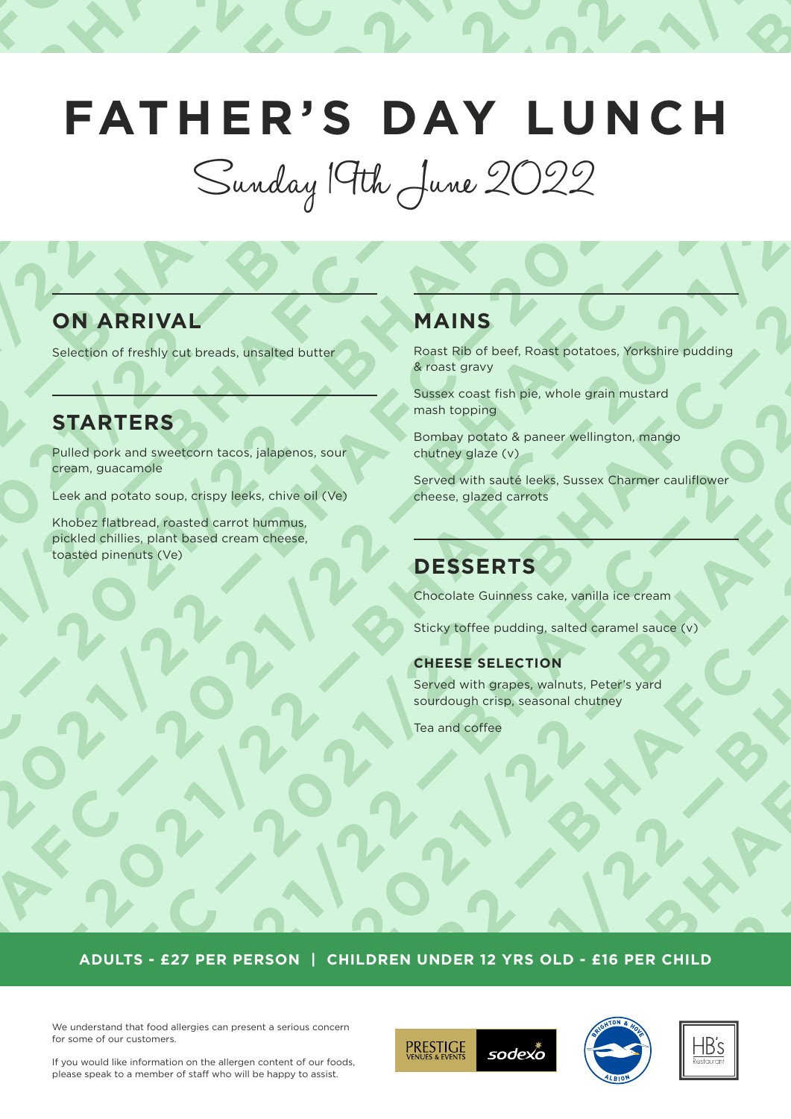# **2021/22 — BHAFTLE RYS DAY LUNCH<br>
COMPARIVAL — BHAFTLE AND STARTERS**<br> **2021/22 — BHAFTLERS**<br> **2021/22 — BHAFTLERS**<br> **2021/22 — BHAFTLE AND STARTERS**<br> **2021/22 — PHAFTLE AND STARTERS OF A PARTICLE AND STARTED AND START AND 2021/22 —BHAFC— 2021/22 — BHAFC— 2021/22 — BHAFC — 2021/22 — 2021/22 —BHAFC— 2021/22 — BHAFC— 2021/22 — BHAFC — 2021/22 — 2021/22 — 2021/22 — 2021/22 — 2021/22 — 2021/22 — 2021/22 — 2021/22 — 2021/22 — 2021/22 — 2021/22 — 2021/22 — 2021/22 — 2021/23 — 2021/23 — 2021/23 — 2021/23 — 2021/23 — 2021/23 — 2021/23 — 2021/23 — 2021/23 — 2021/23 — 2 2021/22 —BHAFC— 2021/22 — BHAFC— 2021/22 — BHAFC — 2021/22 — 2021/22 • CONTRACT A PRINCIPAL AND CONTRACT A PRINCIPAL AND CONTRACT AND CONTRACT AND CONTRACT AND CONTRACT AND CONTRACT AND CONTRACT AND CONTRACT AND CONTRACT AND CONTRACT AND CONTRACT AND CONTRACT AND CONTRACT AND CONTR 2021/22 —BHAFC— 2021/22 — BHAFC— 2021/22 — BHAFC — 2021/22 — 2021/22 • CONTRACT A PRINCIPAL AND CONTRACT A PRINCIPAL AND CONTRACT AND CONTRACT AND CONTRACT AND CONTRACT AND CONTRACT AND CONTRACT AND CONTRACT AND CONTRACT AND CONTRACT AND CONTRACT AND CONTRACT AND CONTRACT AND CONTR 2021/22 —BHAFC— 2021/22 — BHAFC— 2021/22 — BHAFC — 2021/22 — 2021/22 • CONTRACT A PRINCIPAL AND CONTRACT A PRINCIPAL AND CONTRACT AND CONTRACT AND CONTRACT AND CONTRACT AND CONTRACT AND CONTRACT AND CONTRACT AND CONTRACT AND CONTRACT AND CONTRACT AND CONTRACT AND CONTRACT AND CONTR 2021/22 —BHAFC— 2021/22 — BHAFC— 2021/22 — BHAFC — 2021/22 — 2021/22 • CONTRACT A PRINCIPAL AND CONTRACT A PRINCIPAL AND CONTRACT AND CONTRACT AND CONTRACT AND CONTRACT AND CONTRACT AND CONTRACT AND CONTRACT AND CONTRACT AND CONTRACT AND CONTRACT AND CONTRACT AND CONTRACT AND CONTR 2021/22 —BHAFC— 2021/22 — BHAFC— 2021/22 — BHAFC — 2021/22 — 2021/22 PRATHER'S DAY LUNCH<br>
Sunday (9th, June 2022)**<br> **CONDERNAL**<br> **EXARTERS**<br> **EXARTERS**<br> **EXARTERS**<br> **EXARTERS**<br> **EXARTERS**<br> **EXARTERS**<br> **EXARTERS**<br> **EXARTERS**<br> **EXARTERS**<br> **PRATHERS**<br> **PRANEL AND AND AND AND AND AND A 2021/22 —BHAFTERS DAY LUNCH**<br>
CONDERNAL —BHAFCA 2022<br>
CONDERNAL —BHAFCA 2021/22 —BARTERS<br>
CONDERNAL —BARTERS —BARTERS — 2021/22 —BARTERS — 2021/22 —BARTERS — 2021/22 —BARTERS — 2021/22 — 2021/22 — 2021/22 — 2021/22 — 2021 **2021/22 – 2021/22 – 2021/22 – 2021/22 – 2021/22 – 2021/22 – 2021/22 – 2021/22 – 2021/22 – 2021/22 – 2021/22 – 2021/22 – 2021/22 – 2021/22 – 2021/22 – 2021/22 – 2021/22 – 2021/22 – 2021/22 – 2021/22 – 2021/22 – 2021/22 – 2 2021/22 — BHAFTLE R'S DAY LUNCH**<br>
CONARRIVAL — BHAFC — 2022<br>
CONARRIVAL — BARN BAINS<br>
STARTERS<br>
CONARRIVAL — BESSERTS<br>
CONARRIVAL — BESSERTS<br>
CONARD - PARTICULAR DESSERTS<br>
CONARD - PARTICULAR DESSERTS<br>
CONARD - PARTICULAR **2021/22 — 2021/22 — 2021/22 — 2021/22 — 2021/22 — 2021/22 — 2021/22 — 2021/22 — 2021/22 — 2021/22 — 2021/22 — 2021/22 — 2021/22 — 2021/22 — 2021/22 — 2021/22 — 2021/22 — 2021/22 — 2021/22 — 2021/22 — 2021/22 — 2021/22 — 2 2021/22 —BHAFC— 2021/22 — BHAFC— 2021/22 — BHAFC — 2021/22 — 2022/22 — 2022/22 — 2021/22 — 2022/22 — 2021/22 — 2021/22 — 2021/22 — 2021/22 — 2021/22 — 2021/22 — 2021/22 — 2021/22 — 2021/22 — 2021/22 — 2021/22 — 2021/22 — 2021/22 — 2021/22 — 2021/22 — 2021/22 — 2021/22 — 2021/22 — 2 2021**<br> **2021**<br> **2021**<br> **2021**<br> **2021**<br> **2021**<br> **2021**<br> **2021**<br> **2021/2021**<br> **2021/2021**<br> **2021/2021**<br> **2021/2021**<br> **2021/2021**<br> **2021/2021**<br> **2021/2021**<br> **2021/2021**<br> **2021/2021**<br> **2021/2021**<br> **2021/2021**<br> **2021/2021**<br> **2 FAT H E R ' S DAY LU N C H**

**2021/22 — EXERCITY**<br> **2021/22 — EXERCITY**<br> **2021/22 — EXERCITY**<br> **2021/22 — EXERCITY**<br> **2021/22 — EXERCITY**<br> **2021/22 — EXERCITY**<br> **2021/22 — EXERCITY**<br> **2021/22 — EXERCITY**<br> **2021/22 — EXERCITY**<br> **2021/23 — EXERCITY**<br> **2** Sunday 19th June 2022

## **ON ARRIVAL**

Selection of freshly cut breads, unsalted butter

## **STARTERS**

Pulled pork and sweetcorn tacos, jalapenos, sour cream, guacamole

Leek and potato soup, crispy leeks, chive oil (Ve)

**2021/22 — 2021/22 — 2021/22 — 2021/22 — 2021/22 — 2021/22 — 2021/22 — 2021/22 — 2021/22 — 2021/22 — 2021/22 — 2021/22 — 2021/22 — 2021/22 — 2021/22 — 2021/22 — 2021/22 — 2021/22 — 2021/22 — 2021/22 — 2021/22 — 2021/22 — 2** Khobez flatbread, roasted carrot hummus, pickled chillies, plant based cream cheese, toasted pinenuts (Ve)

## **MAINS**

Roast Rib of beef, Roast potatoes, Yorkshire pudding & roast gravy

Sussex coast fish pie, whole grain mustard mash topping

Bombay potato & paneer wellington, mango chutney glaze (v)

**2021/22 Propriet American Constant Construction**<br>
2021/22 Mark Channel Children glack Concert wellington, mande<br>
2021/22 December 2021/22 December 2021/22 Propriet Channel Channel Children<br>
2021<br>
2021 DESSERTS<br>
2020/2021 Served with sauté leeks, Sussex Charmer cauliflower cheese, glazed carrots

## **DESSERTS**

Chocolate Guinness cake, vanilla ice cream

Sticky toffee pudding, salted caramel sauce (v)

### **CHEESE SELECTION**

Served with grapes, walnuts, Peter's yard sourdough crisp, seasonal chutney

Tea and coffee

**2021/22 — 2021/22 — 2021/22 — 2021/22 — 2021/22 — 2021/22 — 2021/22 — 2021/22 — 2021/22 — 2021/22 — 2021/22 — 2021/22 — 2021/22 — 2021/22 — 2021/22 — 2021/22 — 2021/22 — 2021/22 — 2021/22 — 2021/22 — 2021/22 — 2021/22 — 2 ADULTS - £27 PER PERSON | CHILDREN UNDER 12 YRS OLD - £16 PER CHILD** 

We understand that food allergies can present a serious concern for some of our customers.







If you would like information on the allergen content of our foods, please speak to a member of staff who will be happy to assist.